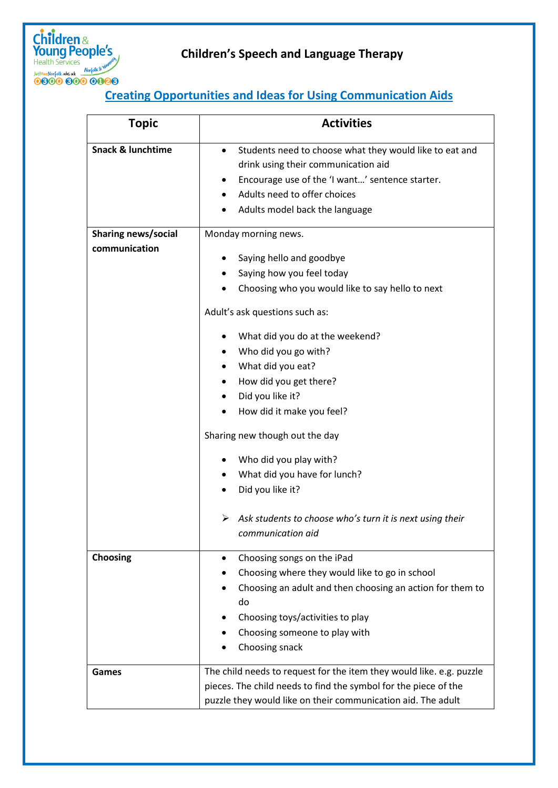

## **Creating Opportunities and Ideas for Using Communication Aids**

| <b>Topic</b>                         | <b>Activities</b>                                                                                                                                                                                                                                                                                                                                                                                                         |
|--------------------------------------|---------------------------------------------------------------------------------------------------------------------------------------------------------------------------------------------------------------------------------------------------------------------------------------------------------------------------------------------------------------------------------------------------------------------------|
| <b>Snack &amp; lunchtime</b>         | Students need to choose what they would like to eat and<br>$\bullet$<br>drink using their communication aid<br>Encourage use of the 'I want' sentence starter.<br>Adults need to offer choices<br>Adults model back the language                                                                                                                                                                                          |
| Sharing news/social<br>communication | Monday morning news.<br>Saying hello and goodbye<br>Saying how you feel today                                                                                                                                                                                                                                                                                                                                             |
|                                      | Choosing who you would like to say hello to next<br>Adult's ask questions such as:<br>What did you do at the weekend?<br>Who did you go with?<br>What did you eat?<br>How did you get there?<br>Did you like it?<br>How did it make you feel?<br>Sharing new though out the day<br>Who did you play with?<br>What did you have for lunch?<br>Did you like it?<br>Ask students to choose who's turn it is next using their |
| <b>Choosing</b>                      | communication aid<br>Choosing songs on the iPad<br>٠<br>Choosing where they would like to go in school<br>Choosing an adult and then choosing an action for them to<br>do<br>Choosing toys/activities to play<br>Choosing someone to play with<br>Choosing snack                                                                                                                                                          |
| Games                                | The child needs to request for the item they would like. e.g. puzzle<br>pieces. The child needs to find the symbol for the piece of the<br>puzzle they would like on their communication aid. The adult                                                                                                                                                                                                                   |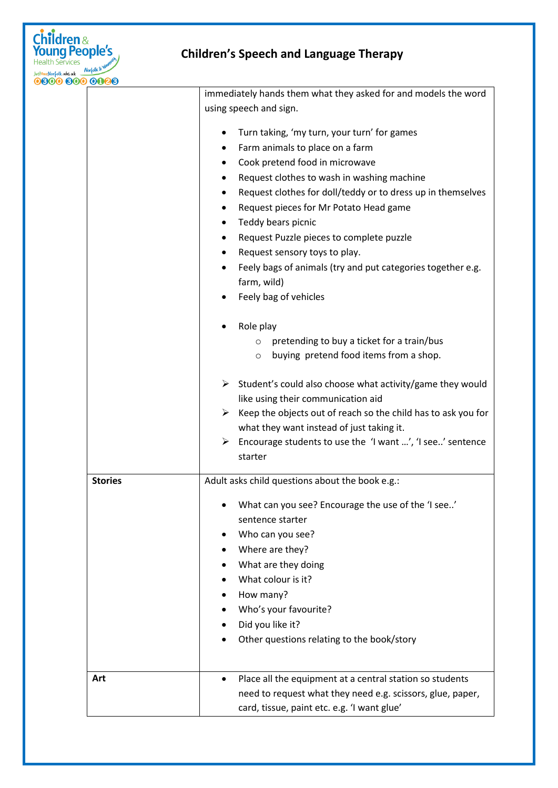

|                | immediately hands them what they asked for and models the word                 |
|----------------|--------------------------------------------------------------------------------|
|                | using speech and sign.                                                         |
|                |                                                                                |
|                | Turn taking, 'my turn, your turn' for games                                    |
|                | Farm animals to place on a farm                                                |
|                | Cook pretend food in microwave                                                 |
|                | Request clothes to wash in washing machine                                     |
|                | Request clothes for doll/teddy or to dress up in themselves                    |
|                | Request pieces for Mr Potato Head game                                         |
|                | Teddy bears picnic<br>$\bullet$                                                |
|                | Request Puzzle pieces to complete puzzle                                       |
|                | Request sensory toys to play.                                                  |
|                | Feely bags of animals (try and put categories together e.g.                    |
|                | farm, wild)                                                                    |
|                | Feely bag of vehicles                                                          |
|                |                                                                                |
|                | Role play                                                                      |
|                | pretending to buy a ticket for a train/bus<br>$\circ$                          |
|                | buying pretend food items from a shop.<br>$\circ$                              |
|                |                                                                                |
|                | $\triangleright$ Student's could also choose what activity/game they would     |
|                | like using their communication aid                                             |
|                | $\triangleright$ Keep the objects out of reach so the child has to ask you for |
|                | what they want instead of just taking it.                                      |
|                | $\triangleright$ Encourage students to use the 'I want ', 'I see' sentence     |
|                | starter                                                                        |
| <b>Stories</b> | Adult asks child questions about the book e.g.:                                |
|                |                                                                                |
|                | What can you see? Encourage the use of the 'I see'                             |
|                | sentence starter                                                               |
|                | Who can you see?                                                               |
|                | Where are they?                                                                |
|                | What are they doing                                                            |
|                | What colour is it?                                                             |
|                | How many?                                                                      |
|                | Who's your favourite?                                                          |
|                | Did you like it?                                                               |
|                | Other questions relating to the book/story                                     |
|                |                                                                                |
|                |                                                                                |
| Art            | Place all the equipment at a central station so students                       |
|                | need to request what they need e.g. scissors, glue, paper,                     |
|                | card, tissue, paint etc. e.g. 'I want glue'                                    |